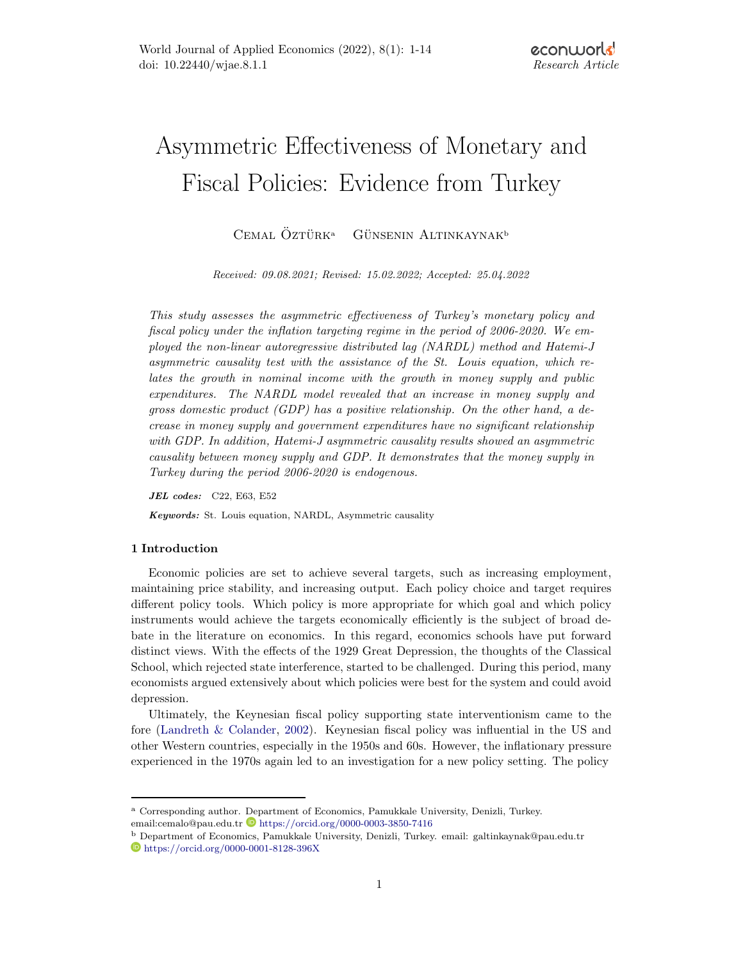# Asymmetric Effectiveness of Monetary and Fiscal Policies: Evidence from Turkey

 $C$ EMAL ÖZTÜRK<sup>a</sup> GÜNSENIN ALTINKAYNAK<sup>b</sup>

Received: 09.08.2021; Revised: 15.02.2022; Accepted: 25.04.2022

This study assesses the asymmetric effectiveness of Turkey's monetary policy and fiscal policy under the inflation targeting regime in the period of 2006-2020. We employed the non-linear autoregressive distributed lag (NARDL) method and Hatemi-J asymmetric causality test with the assistance of the St. Louis equation, which relates the growth in nominal income with the growth in money supply and public expenditures. The NARDL model revealed that an increase in money supply and gross domestic product  $(GDP)$  has a positive relationship. On the other hand, a decrease in money supply and government expenditures have no significant relationship with GDP. In addition, Hatemi-J asymmetric causality results showed an asymmetric causality between money supply and GDP. It demonstrates that the money supply in Turkey during the period 2006-2020 is endogenous.

JEL codes: C22, E63, E52

Keywords: St. Louis equation, NARDL, Asymmetric causality

# 1 Introduction

Economic policies are set to achieve several targets, such as increasing employment, maintaining price stability, and increasing output. Each policy choice and target requires different policy tools. Which policy is more appropriate for which goal and which policy instruments would achieve the targets economically efficiently is the subject of broad debate in the literature on economics. In this regard, economics schools have put forward distinct views. With the effects of the 1929 Great Depression, the thoughts of the Classical School, which rejected state interference, started to be challenged. During this period, many economists argued extensively about which policies were best for the system and could avoid depression.

Ultimately, the Keynesian fiscal policy supporting state interventionism came to the fore [\(Landreth & Colander,](#page-11-0) [2002\)](#page-11-0). Keynesian fiscal policy was influential in the US and other Western countries, especially in the 1950s and 60s. However, the inflationary pressure experienced in the 1970s again led to an investigation for a new policy setting. The policy

<sup>a</sup> Corresponding author. Department of Economics, Pamukkale University, Denizli, Turkey. email:cemalo@pau.edu.tr $\textcolor{blue}{\bullet}$ <https://orcid.org/0000-0003-3850-7416>

<sup>b</sup> Department of Economics, Pamukkale University, Denizli, Turkey. email: galtinkaynak@pau.edu.tr <https://orcid.org/0000-0001-8128-396X>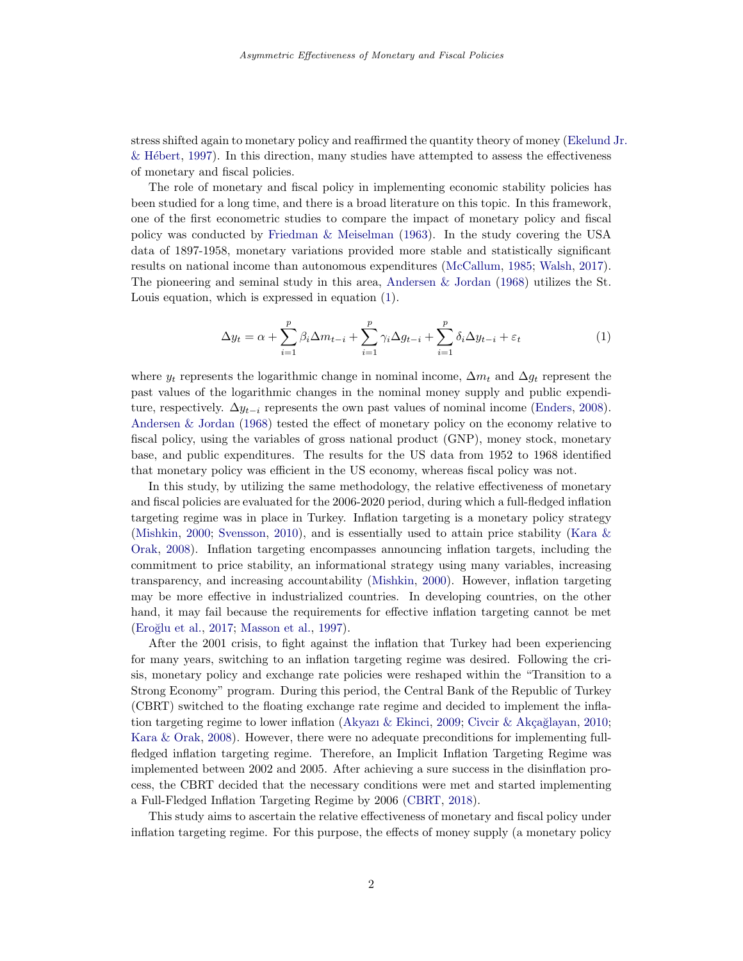stress shifted again to monetary policy and reaffirmed the quantity theory of money [\(Ekelund](#page-11-1) Jr.  $\&$  Hébert, [1997\)](#page-11-1). In this direction, many studies have attempted to assess the effectiveness of monetary and fiscal policies.

The role of monetary and fiscal policy in implementing economic stability policies has been studied for a long time, and there is a broad literature on this topic. In this framework, one of the first econometric studies to compare the impact of monetary policy and fiscal policy was conducted by [Friedman & Meiselman](#page-11-2) [\(1963\)](#page-11-2). In the study covering the USA data of 1897-1958, monetary variations provided more stable and statistically significant results on national income than autonomous expenditures [\(McCallum,](#page-12-0) [1985;](#page-12-0) [Walsh,](#page-12-1) [2017\)](#page-12-1). The pioneering and seminal study in this area, [Andersen & Jordan](#page-10-0) [\(1968\)](#page-10-0) utilizes the St. Louis equation, which is expressed in equation [\(1\)](#page-1-0).

<span id="page-1-0"></span>
$$
\Delta y_t = \alpha + \sum_{i=1}^p \beta_i \Delta m_{t-i} + \sum_{i=1}^p \gamma_i \Delta g_{t-i} + \sum_{i=1}^p \delta_i \Delta y_{t-i} + \varepsilon_t \tag{1}
$$

where  $y_t$  represents the logarithmic change in nominal income,  $\Delta m_t$  and  $\Delta g_t$  represent the past values of the logarithmic changes in the nominal money supply and public expenditure, respectively.  $\Delta y_{t-i}$  represents the own past values of nominal income [\(Enders,](#page-11-3) [2008\)](#page-11-3). [Andersen & Jordan](#page-10-0) [\(1968\)](#page-10-0) tested the effect of monetary policy on the economy relative to fiscal policy, using the variables of gross national product (GNP), money stock, monetary base, and public expenditures. The results for the US data from 1952 to 1968 identified that monetary policy was efficient in the US economy, whereas fiscal policy was not.

In this study, by utilizing the same methodology, the relative effectiveness of monetary and fiscal policies are evaluated for the 2006-2020 period, during which a full-fledged inflation targeting regime was in place in Turkey. Inflation targeting is a monetary policy strategy [\(Mishkin,](#page-12-2) [2000;](#page-12-2) [Svensson,](#page-12-3) [2010\)](#page-12-3), and is essentially used to attain price stability [\(Kara &](#page-11-4) [Orak,](#page-11-4) [2008\)](#page-11-4). Inflation targeting encompasses announcing inflation targets, including the commitment to price stability, an informational strategy using many variables, increasing transparency, and increasing accountability [\(Mishkin,](#page-12-2) [2000\)](#page-12-2). However, inflation targeting may be more effective in industrialized countries. In developing countries, on the other hand, it may fail because the requirements for effective inflation targeting cannot be met [\(Ero˘glu et al.,](#page-11-5) [2017;](#page-11-5) [Masson et al.,](#page-11-6) [1997\)](#page-11-6).

After the 2001 crisis, to fight against the inflation that Turkey had been experiencing for many years, switching to an inflation targeting regime was desired. Following the crisis, monetary policy and exchange rate policies were reshaped within the "Transition to a Strong Economy" program. During this period, the Central Bank of the Republic of Turkey (CBRT) switched to the floating exchange rate regime and decided to implement the infla-tion targeting regime to lower inflation [\(Akyazı & Ekinci,](#page-10-1) [2009;](#page-10-1) Civcir & Akçağlayan, [2010;](#page-10-2) [Kara & Orak,](#page-11-4) [2008\)](#page-11-4). However, there were no adequate preconditions for implementing fullfledged inflation targeting regime. Therefore, an Implicit Inflation Targeting Regime was implemented between 2002 and 2005. After achieving a sure success in the disinflation process, the CBRT decided that the necessary conditions were met and started implementing a Full-Fledged Inflation Targeting Regime by 2006 [\(CBRT,](#page-10-3) [2018\)](#page-10-3).

This study aims to ascertain the relative effectiveness of monetary and fiscal policy under inflation targeting regime. For this purpose, the effects of money supply (a monetary policy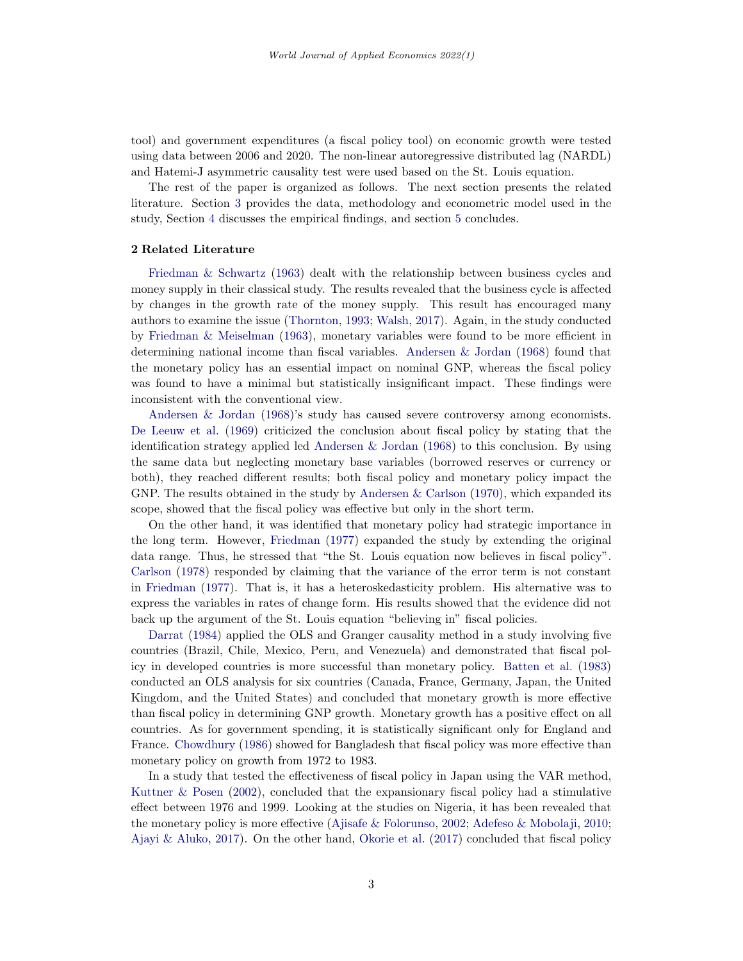tool) and government expenditures (a fiscal policy tool) on economic growth were tested using data between 2006 and 2020. The non-linear autoregressive distributed lag (NARDL) and Hatemi-J asymmetric causality test were used based on the St. Louis equation.

The rest of the paper is organized as follows. The next section presents the related literature. Section [3](#page-4-0) provides the data, methodology and econometric model used in the study, Section [4](#page-7-0) discusses the empirical findings, and section [5](#page-9-0) concludes.

#### 2 Related Literature

[Friedman & Schwartz](#page-11-7) [\(1963\)](#page-11-7) dealt with the relationship between business cycles and money supply in their classical study. The results revealed that the business cycle is affected by changes in the growth rate of the money supply. This result has encouraged many authors to examine the issue [\(Thornton,](#page-12-4) [1993;](#page-12-4) [Walsh,](#page-12-1) [2017\)](#page-12-1). Again, in the study conducted by [Friedman & Meiselman](#page-11-2) [\(1963\)](#page-11-2), monetary variables were found to be more efficient in determining national income than fiscal variables. [Andersen & Jordan](#page-10-0) [\(1968\)](#page-10-0) found that the monetary policy has an essential impact on nominal GNP, whereas the fiscal policy was found to have a minimal but statistically insignificant impact. These findings were inconsistent with the conventional view.

[Andersen & Jordan](#page-10-0) [\(1968\)](#page-10-0)'s study has caused severe controversy among economists. [De Leeuw et al.](#page-11-8) [\(1969\)](#page-11-8) criticized the conclusion about fiscal policy by stating that the identification strategy applied led [Andersen & Jordan](#page-10-0) [\(1968\)](#page-10-0) to this conclusion. By using the same data but neglecting monetary base variables (borrowed reserves or currency or both), they reached different results; both fiscal policy and monetary policy impact the GNP. The results obtained in the study by Andersen  $&$  Carlson [\(1970\)](#page-10-4), which expanded its scope, showed that the fiscal policy was effective but only in the short term.

On the other hand, it was identified that monetary policy had strategic importance in the long term. However, [Friedman](#page-11-9) [\(1977\)](#page-11-9) expanded the study by extending the original data range. Thus, he stressed that "the St. Louis equation now believes in fiscal policy". [Carlson](#page-10-5) [\(1978\)](#page-10-5) responded by claiming that the variance of the error term is not constant in [Friedman](#page-11-9) [\(1977\)](#page-11-9). That is, it has a heteroskedasticity problem. His alternative was to express the variables in rates of change form. His results showed that the evidence did not back up the argument of the St. Louis equation "believing in" fiscal policies.

[Darrat](#page-10-6) [\(1984\)](#page-10-6) applied the OLS and Granger causality method in a study involving five countries (Brazil, Chile, Mexico, Peru, and Venezuela) and demonstrated that fiscal policy in developed countries is more successful than monetary policy. [Batten et al.](#page-10-7) [\(1983\)](#page-10-7) conducted an OLS analysis for six countries (Canada, France, Germany, Japan, the United Kingdom, and the United States) and concluded that monetary growth is more effective than fiscal policy in determining GNP growth. Monetary growth has a positive effect on all countries. As for government spending, it is statistically significant only for England and France. [Chowdhury](#page-10-8) [\(1986\)](#page-10-8) showed for Bangladesh that fiscal policy was more effective than monetary policy on growth from 1972 to 1983.

In a study that tested the effectiveness of fiscal policy in Japan using the VAR method, [Kuttner & Posen](#page-11-10) [\(2002\)](#page-11-10), concluded that the expansionary fiscal policy had a stimulative effect between 1976 and 1999. Looking at the studies on Nigeria, it has been revealed that the monetary policy is more effective [\(Ajisafe & Folorunso,](#page-10-9) [2002;](#page-10-9) [Adefeso & Mobolaji,](#page-10-10) [2010;](#page-10-10) [Ajayi & Aluko,](#page-10-11) [2017\)](#page-10-11). On the other hand, [Okorie et al.](#page-12-5) [\(2017\)](#page-12-5) concluded that fiscal policy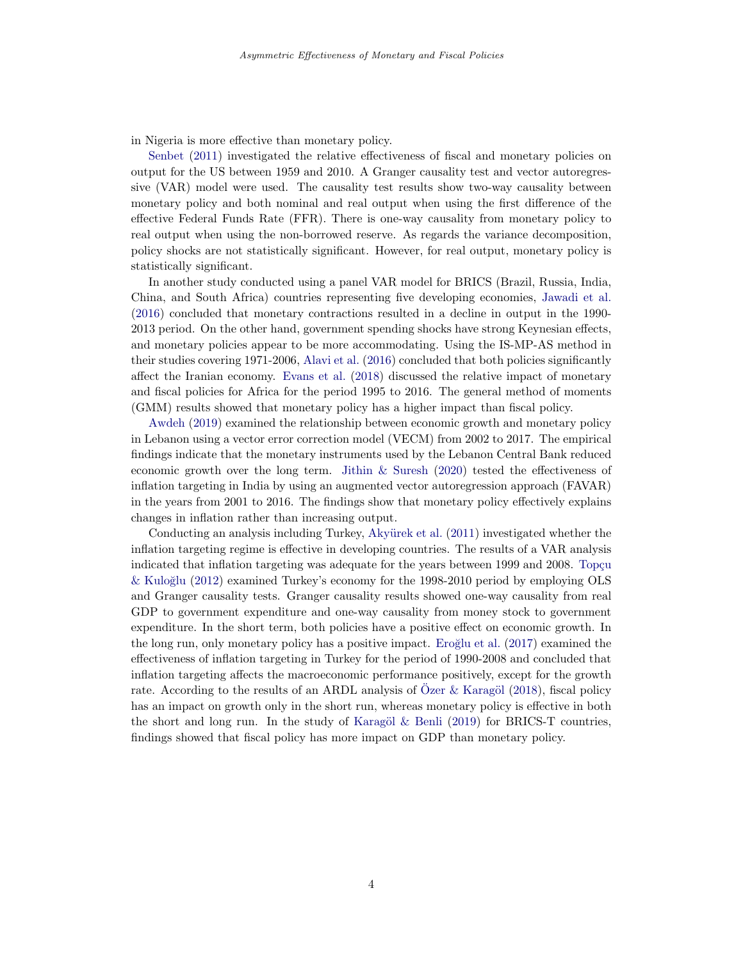in Nigeria is more effective than monetary policy.

[Senbet](#page-12-6) [\(2011\)](#page-12-6) investigated the relative effectiveness of fiscal and monetary policies on output for the US between 1959 and 2010. A Granger causality test and vector autoregressive (VAR) model were used. The causality test results show two-way causality between monetary policy and both nominal and real output when using the first difference of the effective Federal Funds Rate (FFR). There is one-way causality from monetary policy to real output when using the non-borrowed reserve. As regards the variance decomposition, policy shocks are not statistically significant. However, for real output, monetary policy is statistically significant.

In another study conducted using a panel VAR model for BRICS (Brazil, Russia, India, China, and South Africa) countries representing five developing economies, [Jawadi et al.](#page-11-11) [\(2016\)](#page-11-11) concluded that monetary contractions resulted in a decline in output in the 1990- 2013 period. On the other hand, government spending shocks have strong Keynesian effects, and monetary policies appear to be more accommodating. Using the IS-MP-AS method in their studies covering 1971-2006, [Alavi et al.](#page-10-12) [\(2016\)](#page-10-12) concluded that both policies significantly affect the Iranian economy. [Evans et al.](#page-11-12) [\(2018\)](#page-11-12) discussed the relative impact of monetary and fiscal policies for Africa for the period 1995 to 2016. The general method of moments (GMM) results showed that monetary policy has a higher impact than fiscal policy.

[Awdeh](#page-10-13) [\(2019\)](#page-10-13) examined the relationship between economic growth and monetary policy in Lebanon using a vector error correction model (VECM) from 2002 to 2017. The empirical findings indicate that the monetary instruments used by the Lebanon Central Bank reduced economic growth over the long term. [Jithin & Suresh](#page-11-13) [\(2020\)](#page-11-13) tested the effectiveness of inflation targeting in India by using an augmented vector autoregression approach (FAVAR) in the years from 2001 to 2016. The findings show that monetary policy effectively explains changes in inflation rather than increasing output.

Conducting an analysis including Turkey, Akyürek et al. [\(2011\)](#page-10-14) investigated whether the inflation targeting regime is effective in developing countries. The results of a VAR analysis indicated that inflation targeting was adequate for the years between 1999 and 2008. Topçu [& Kulo˘glu](#page-12-7) [\(2012\)](#page-12-7) examined Turkey's economy for the 1998-2010 period by employing OLS and Granger causality tests. Granger causality results showed one-way causality from real GDP to government expenditure and one-way causality from money stock to government expenditure. In the short term, both policies have a positive effect on economic growth. In the long run, only monetary policy has a positive impact. Eroğlu et al. [\(2017\)](#page-11-5) examined the effectiveness of inflation targeting in Turkey for the period of 1990-2008 and concluded that inflation targeting affects the macroeconomic performance positively, except for the growth rate. According to the results of an ARDL analysis of Ozer  $\&$  Karagöl [\(2018\)](#page-12-8), fiscal policy has an impact on growth only in the short run, whereas monetary policy is effective in both the short and long run. In the study of Karagöl  $\&$  Benli [\(2019\)](#page-11-14) for BRICS-T countries, findings showed that fiscal policy has more impact on GDP than monetary policy.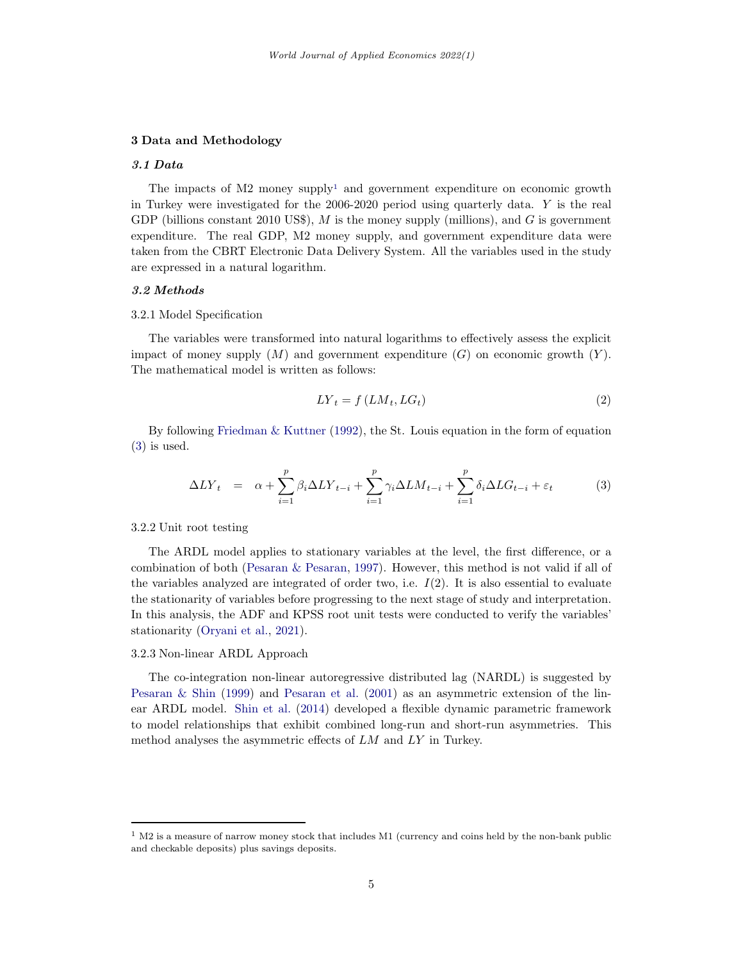## <span id="page-4-0"></span>3 Data and Methodology

## 3.1 Data

The impacts of  $M2$  money supply<sup>[1](#page-4-1)</sup> and government expenditure on economic growth in Turkey were investigated for the 2006-2020 period using quarterly data. Y is the real GDP (billions constant 2010 US\$),  $M$  is the money supply (millions), and  $G$  is government expenditure. The real GDP, M2 money supply, and government expenditure data were taken from the CBRT Electronic Data Delivery System. All the variables used in the study are expressed in a natural logarithm.

#### 3.2 Methods

#### 3.2.1 Model Specification

The variables were transformed into natural logarithms to effectively assess the explicit impact of money supply  $(M)$  and government expenditure  $(G)$  on economic growth  $(Y)$ . The mathematical model is written as follows:

$$
LY_t = f(LM_t, LG_t)
$$
\n<sup>(2)</sup>

By following Friedman  $&$  Kuttner [\(1992\)](#page-11-15), the St. Louis equation in the form of equation [\(3\)](#page-4-2) is used.

<span id="page-4-2"></span>
$$
\Delta LY_t = \alpha + \sum_{i=1}^p \beta_i \Delta LY_{t-i} + \sum_{i=1}^p \gamma_i \Delta LM_{t-i} + \sum_{i=1}^p \delta_i \Delta LG_{t-i} + \varepsilon_t \tag{3}
$$

3.2.2 Unit root testing

The ARDL model applies to stationary variables at the level, the first difference, or a combination of both [\(Pesaran & Pesaran,](#page-12-9) [1997\)](#page-12-9). However, this method is not valid if all of the variables analyzed are integrated of order two, i.e.  $I(2)$ . It is also essential to evaluate the stationarity of variables before progressing to the next stage of study and interpretation. In this analysis, the ADF and KPSS root unit tests were conducted to verify the variables' stationarity [\(Oryani et al.,](#page-12-10) [2021\)](#page-12-10).

## 3.2.3 Non-linear ARDL Approach

The co-integration non-linear autoregressive distributed lag (NARDL) is suggested by [Pesaran & Shin](#page-12-11) [\(1999\)](#page-12-11) and [Pesaran et al.](#page-12-12) [\(2001\)](#page-12-12) as an asymmetric extension of the linear ARDL model. [Shin et al.](#page-12-13) [\(2014\)](#page-12-13) developed a flexible dynamic parametric framework to model relationships that exhibit combined long-run and short-run asymmetries. This method analyses the asymmetric effects of LM and LY in Turkey.

<span id="page-4-1"></span> $1$  M2 is a measure of narrow money stock that includes M1 (currency and coins held by the non-bank public and checkable deposits) plus savings deposits.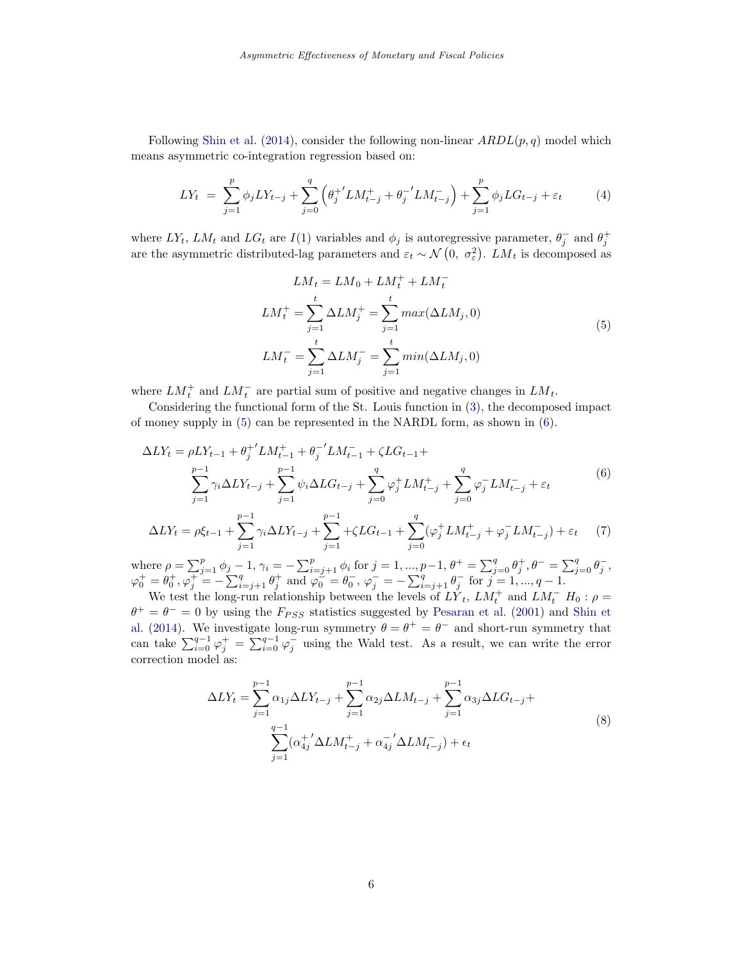Following [Shin et al.](#page-12-13) [\(2014\)](#page-12-13), consider the following non-linear  $ARDL(p, q)$  model which means asymmetric co-integration regression based on:

$$
LY_t = \sum_{j=1}^p \phi_j LY_{t-j} + \sum_{j=0}^q \left(\theta_j^{+'} LM_{t-j}^+ + \theta_j^{-'} LM_{t-j}^-\right) + \sum_{j=1}^p \phi_j LG_{t-j} + \varepsilon_t \tag{4}
$$

where  $LY_t$ ,  $LM_t$  and  $LG_t$  are  $I(1)$  variables and  $\phi_j$  is autoregressive parameter,  $\theta_j^-$  and  $\theta_j^+$ are the asymmetric distributed-lag parameters and  $\varepsilon_t \sim \mathcal{N}(0, \sigma_{\varepsilon}^2)$ .  $LM_t$  is decomposed as

<span id="page-5-0"></span>
$$
LM_t = LM_0 + LM_t^+ + LM_t^-
$$
  
\n
$$
LM_t^+ = \sum_{j=1}^t \Delta LM_j^+ = \sum_{j=1}^t max(\Delta LM_j, 0)
$$
  
\n
$$
LM_t^- = \sum_{j=1}^t \Delta LM_j^- = \sum_{j=1}^t min(\Delta LM_j, 0)
$$
\n(5)

where  $LM_t^+$  and  $LM_t^-$  are partial sum of positive and negative changes in  $LM_t$ .

Considering the functional form of the St. Louis function in [\(3\)](#page-4-2), the decomposed impact of money supply in  $(5)$  can be represented in the NARDL form, as shown in  $(6)$ .

<span id="page-5-1"></span>
$$
\Delta LY_{t} = \rho L Y_{t-1} + \theta_{j}^{+'} L M_{t-1}^{+} + \theta_{j}^{-'} L M_{t-1}^{-} + \zeta L G_{t-1} + \sum_{j=0}^{p-1} \gamma_{i} \Delta L Y_{t-j} + \sum_{j=1}^{p-1} \psi_{i} \Delta L G_{t-j} + \sum_{j=0}^{q} \varphi_{j}^{+} L M_{t-j}^{+} + \sum_{j=0}^{q} \varphi_{j}^{-} L M_{t-j}^{-} + \varepsilon_{t}
$$
\n(6)

$$
\Delta LY_t = \rho \xi_{t-1} + \sum_{j=1}^{p-1} \gamma_i \Delta LY_{t-j} + \sum_{j=1}^{p-1} \gamma_i \Delta G_{t-1} + \sum_{j=0}^q (\varphi_j^+ LM_{t-j}^+ + \varphi_j^- LM_{t-j}^-) + \varepsilon_t \tag{7}
$$

where  $\rho = \sum_{j=1}^p \phi_j - 1$ ,  $\gamma_i = -\sum_{i=j+1}^p \phi_i$  for  $j = 1, ..., p-1$ ,  $\theta^+ = \sum_{j=0}^q \theta_j^+$ ,  $\theta^- = \sum_{j=0}^q \theta_j^-$ ,  $\varphi_0^+ = \theta_0^+, \varphi_j^+ = -\sum_{i=j+1}^q \theta_j^+$  and  $\varphi_0^-\ = \theta_0^-, \varphi_j^- = -\sum_{i=j+1}^q \theta_j^-$  for  $j = 1, ..., q-1$ .

We test the long-run relationship between the levels of  $L\tilde{Y}_t$ ,  $LM_t^+$  and  $LM_t^ H_0$ :  $\rho =$  $\theta^+ = \theta^- = 0$  by using the  $F_{PSS}$  statistics suggested by [Pesaran et al.](#page-12-12) [\(2001\)](#page-12-12) and [Shin et](#page-12-13) [al.](#page-12-13) [\(2014\)](#page-12-13). We investigate long-run symmetry  $\theta = \theta^+ = \theta^-$  and short-run symmetry that can take  $\sum_{i=0}^{q-1} \varphi_j^+ = \sum_{i=0}^{q-1} \varphi_j^-$  using the Wald test. As a result, we can write the error correction model as:

$$
\Delta LY_t = \sum_{j=1}^{p-1} \alpha_{1j} \Delta LY_{t-j} + \sum_{j=1}^{p-1} \alpha_{2j} \Delta LM_{t-j} + \sum_{j=1}^{p-1} \alpha_{3j} \Delta LG_{t-j} + \sum_{j=1}^{q-1} (\alpha_{4j}^+ \Delta LM_{t-j}^+ + \alpha_{4j}^- \Delta LM_{t-j}^-) + \epsilon_t
$$
\n(8)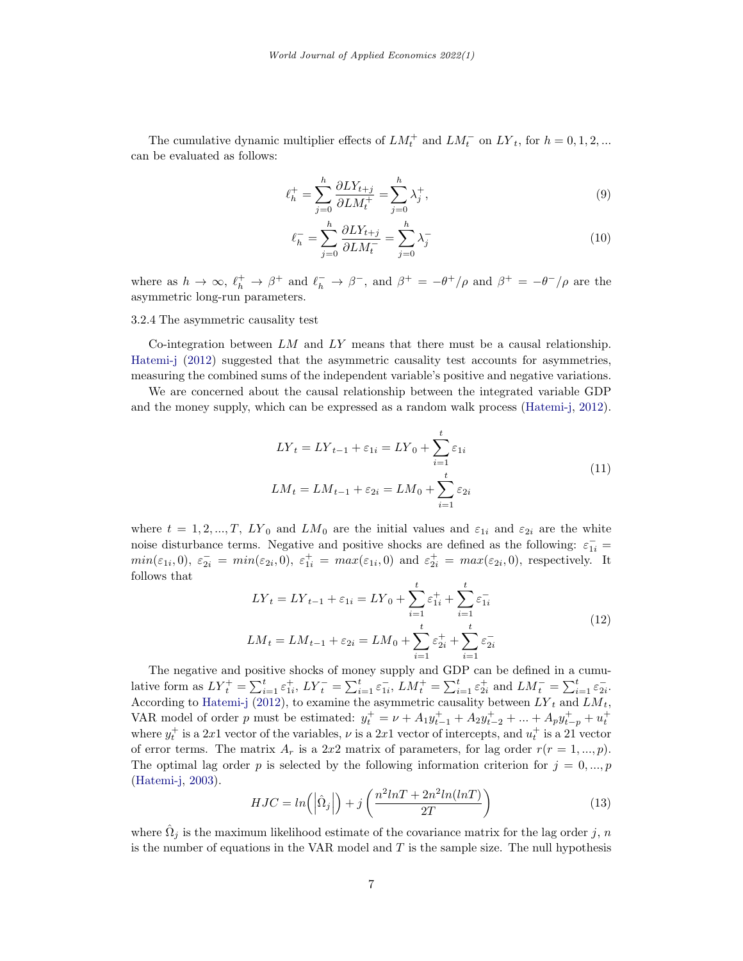The cumulative dynamic multiplier effects of  $LM_t^+$  and  $LM_t^-$  on  $LY_t$ , for  $h = 0, 1, 2, ...$ can be evaluated as follows:

$$
\ell_h^+ = \sum_{j=0}^h \frac{\partial L Y_{t+j}}{\partial L M_t^+} = \sum_{j=0}^h \lambda_j^+, \tag{9}
$$

$$
\ell_h^- = \sum_{j=0}^h \frac{\partial L Y_{t+j}}{\partial L M_t^-} = \sum_{j=0}^h \lambda_j^- \tag{10}
$$

where as  $h \to \infty$ ,  $\ell_h^+ \to \beta^+$  and  $\ell_h^- \to \beta^-$ , and  $\beta^+ = -\theta^+/\rho$  and  $\beta^+ = -\theta^-/\rho$  are the asymmetric long-run parameters.

## 3.2.4 The asymmetric causality test

Co-integration between  $LM$  and  $LY$  means that there must be a causal relationship. [Hatemi-j](#page-11-16) [\(2012\)](#page-11-16) suggested that the asymmetric causality test accounts for asymmetries, measuring the combined sums of the independent variable's positive and negative variations.

We are concerned about the causal relationship between the integrated variable GDP and the money supply, which can be expressed as a random walk process [\(Hatemi-j,](#page-11-16) [2012\)](#page-11-16).

$$
LY_t = LY_{t-1} + \varepsilon_{1i} = LY_0 + \sum_{i=1}^t \varepsilon_{1i}
$$
  

$$
LM_t = LM_{t-1} + \varepsilon_{2i} = LM_0 + \sum_{i=1}^t \varepsilon_{2i}
$$
 (11)

where  $t = 1, 2, ..., T, LV_0$  and  $LM_0$  are the initial values and  $\varepsilon_{1i}$  and  $\varepsilon_{2i}$  are the white noise disturbance terms. Negative and positive shocks are defined as the following:  $\varepsilon_{1i}^-$  =  $min(\varepsilon_{1i}, 0), \ \varepsilon_{2i}^{-} = min(\varepsilon_{2i}, 0), \ \varepsilon_{1i}^{+} = max(\varepsilon_{1i}, 0) \ \text{and} \ \varepsilon_{2i}^{+} = max(\varepsilon_{2i}, 0), \ \text{respectively. It}$ follows that

$$
LY_{t} = LY_{t-1} + \varepsilon_{1i} = LY_0 + \sum_{i=1}^{t} \varepsilon_{1i}^{+} + \sum_{i=1}^{t} \varepsilon_{1i}^{-}
$$
  

$$
LM_{t} = LM_{t-1} + \varepsilon_{2i} = LM_0 + \sum_{i=1}^{t} \varepsilon_{2i}^{+} + \sum_{i=1}^{t} \varepsilon_{2i}^{-}
$$
 (12)

The negative and positive shocks of money supply and GDP can be defined in a cumulative form as  $LY_t^+ = \sum_{i=1}^t \varepsilon_{1i}^+, \, LY_t^- = \sum_{i=1}^t \varepsilon_{1i}^-, \, LM_t^+ = \sum_{i=1}^t \varepsilon_{2i}^+$  and  $LM_t^- = \sum_{i=1}^t \varepsilon_{2i}^-$ . According to [Hatemi-j](#page-11-16) [\(2012\)](#page-11-16), to examine the asymmetric causality between  $LY_t$  and  $LM_t$ , VAR model of order p must be estimated:  $y_t^+ = \nu + A_1 y_{t-1}^+ + A_2 y_{t-2}^+ + ... + A_p y_{t-p}^+ + u_t^+$ where  $y_t^+$  is a 2x1 vector of the variables,  $\nu$  is a 2x1 vector of intercepts, and  $u_t^+$  is a 21 vector of error terms. The matrix  $A_r$  is a 2x2 matrix of parameters, for lag order  $r(r = 1, ..., p)$ . The optimal lag order p is selected by the following information criterion for  $j = 0, ..., p$ [\(Hatemi-j,](#page-11-17) [2003\)](#page-11-17).

$$
HJC = ln\left(\left|\hat{\Omega}_j\right|\right) + j\left(\frac{n^2lnT + 2n^2ln(lnT)}{2T}\right)
$$
\n(13)

where  $\hat{\Omega}_j$  is the maximum likelihood estimate of the covariance matrix for the lag order j, n is the number of equations in the VAR model and  $T$  is the sample size. The null hypothesis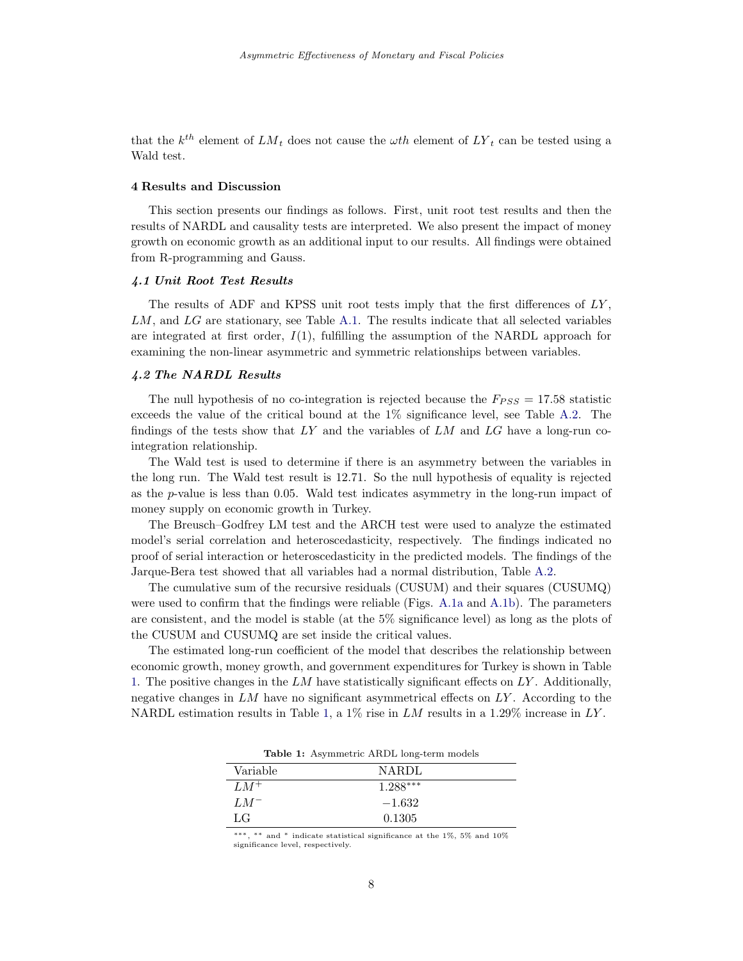that the  $k^{th}$  element of  $LM_t$  does not cause the  $\omega th$  element of  $LY_t$  can be tested using a Wald test.

## <span id="page-7-0"></span>4 Results and Discussion

This section presents our findings as follows. First, unit root test results and then the results of NARDL and causality tests are interpreted. We also present the impact of money growth on economic growth as an additional input to our results. All findings were obtained from R-programming and Gauss.

#### 4.1 Unit Root Test Results

The results of ADF and KPSS unit root tests imply that the first differences of  $LY$ , LM, and LG are stationary, see Table [A.1.](#page-13-0) The results indicate that all selected variables are integrated at first order,  $I(1)$ , fulfilling the assumption of the NARDL approach for examining the non-linear asymmetric and symmetric relationships between variables.

## 4.2 The NARDL Results

The null hypothesis of no co-integration is rejected because the  $F_{PSS} = 17.58$  statistic exceeds the value of the critical bound at the 1% significance level, see Table [A.2.](#page-13-1) The findings of the tests show that  $LY$  and the variables of  $LM$  and  $LG$  have a long-run cointegration relationship.

The Wald test is used to determine if there is an asymmetry between the variables in the long run. The Wald test result is 12.71. So the null hypothesis of equality is rejected as the  $p$ -value is less than 0.05. Wald test indicates asymmetry in the long-run impact of money supply on economic growth in Turkey.

The Breusch–Godfrey LM test and the ARCH test were used to analyze the estimated model's serial correlation and heteroscedasticity, respectively. The findings indicated no proof of serial interaction or heteroscedasticity in the predicted models. The findings of the Jarque-Bera test showed that all variables had a normal distribution, Table [A.2.](#page-13-1)

The cumulative sum of the recursive residuals (CUSUM) and their squares (CUSUMQ) were used to confirm that the findings were reliable (Figs. [A.1a](#page-13-2) and [A.1b\)](#page-13-2). The parameters are consistent, and the model is stable (at the 5% significance level) as long as the plots of the CUSUM and CUSUMQ are set inside the critical values.

<span id="page-7-1"></span>The estimated long-run coefficient of the model that describes the relationship between economic growth, money growth, and government expenditures for Turkey is shown in Table [1.](#page-7-1) The positive changes in the  $LM$  have statistically significant effects on  $LY$ . Additionally, negative changes in  $LM$  have no significant asymmetrical effects on  $LY$ . According to the NARDL estimation results in Table [1,](#page-7-1) a  $1\%$  rise in LM results in a 1.29% increase in LY.

Table 1: Asymmetric ARDL long-term models

| Variable | <b>NARDL</b> |  |
|----------|--------------|--|
| $LM^+$   | $1.288***$   |  |
| $LM^-$   | $-1.632$     |  |
| LG       | 0.1305       |  |

∗∗∗, ∗∗ and <sup>∗</sup> indicate statistical significance at the 1%, 5% and 10% significance level, respectively.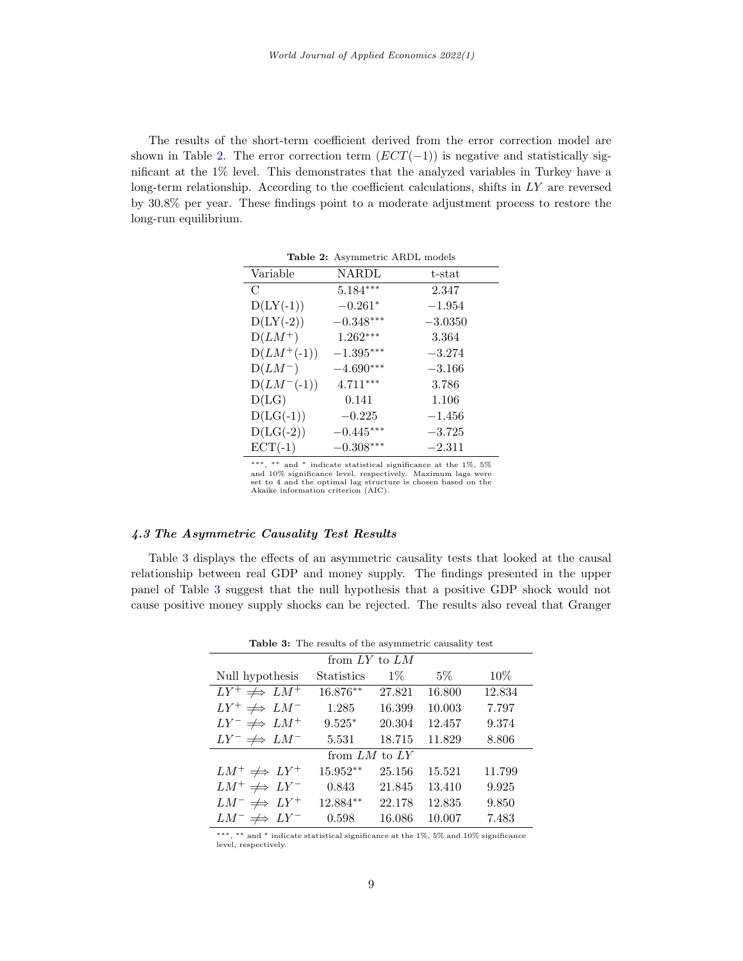<span id="page-8-0"></span>The results of the short-term coefficient derived from the error correction model are shown in Table [2.](#page-8-0) The error correction term  $(ECT(-1))$  is negative and statistically significant at the 1% level. This demonstrates that the analyzed variables in Turkey have a long-term relationship. According to the coefficient calculations, shifts in  $LY$  are reversed by 30.8% per year. These findings point to a moderate adjustment process to restore the long-run equilibrium.

| Variable        | NARDL                   | $t$ -stat |
|-----------------|-------------------------|-----------|
| $\mathcal{C}$   | $5.184***$              | 2.347     |
| $D(LY(-1))$     | $-0.261*$               | $-1.954$  |
| $D(LY(-2))$     | $-0.348***$             | $-3.0350$ |
| $D(LM^+)$       | $1.262***$              | 3.364     |
| $D(LM^+(-1))$   | $-1.395^{\ast\ast\ast}$ | $-3.274$  |
| $D(LM^{-})$     | $-4.690***$             | $-3.166$  |
| $D(LM^{-}(-1))$ | $4.711***$              | 3.786     |
| D(LG)           | 0.141                   | 1.106     |
| $D(LG(-1))$     | $-0.225$                | $-1.456$  |
| $D(LG(-2))$     | $-0.445***$             | $-3.725$  |
| $ECT(-1)$       | $-0.308***$             | $-2.311$  |

Table 2: Asymmetric ARDL models

∗∗∗, ∗∗ and <sup>∗</sup> indicate statistical significance at the 1%, 5% and 10% significance level, respectively. Maximum lags were set to 4 and the optimal lag structure is chosen based on the Akaike information criterion (AIC).

## 4.3 The Asymmetric Causality Test Results

<span id="page-8-1"></span>Table [3](#page-8-1) displays the effects of an asymmetric causality tests that looked at the causal relationship between real GDP and money supply. The findings presented in the upper panel of Table [3](#page-8-1) suggest that the null hypothesis that a positive GDP shock would not cause positive money supply shocks can be rejected. The results also reveal that Granger

| Table 3: The results of the asymmetric causality test |            |        |        |        |
|-------------------------------------------------------|------------|--------|--------|--------|
| from $LY$ to $LM$                                     |            |        |        |        |
| Null hypothesis                                       | Statistics | $1\%$  | $5\%$  | 10%    |
| $LY^+ \neq LM^+$                                      | 16.876**   | 27.821 | 16.800 | 12.834 |
| $LY^+ \neq LM^-$                                      | 1.285      | 16.399 | 10.003 | 7.797  |
| $LY^- \neq LM^+$                                      | $9.525*$   | 20.304 | 12.457 | 9.374  |
| $LY^- \neq LM^-$                                      | 5.531      | 18.715 | 11.829 | 8.806  |
| from $LM$ to $LY$                                     |            |        |        |        |
| $LM^+\not\Longrightarrow LY^+$                        | $15.952**$ | 25.156 | 15.521 | 11.799 |
| $LM^+ \neq \neg LY^-$                                 | 0.843      | 21.845 | 13.410 | 9.925  |
| $LM^- \not\Longrightarrow LY^+$                       | $12.884**$ | 22.178 | 12.835 | 9.850  |
| $LM^- \not\Longrightarrow LY^-$                       | 0.598      | 16.086 | 10.007 | 7.483  |

∗∗∗, ∗∗ and <sup>∗</sup> indicate statistical significance at the 1%, 5% and 10% significance level, respectively.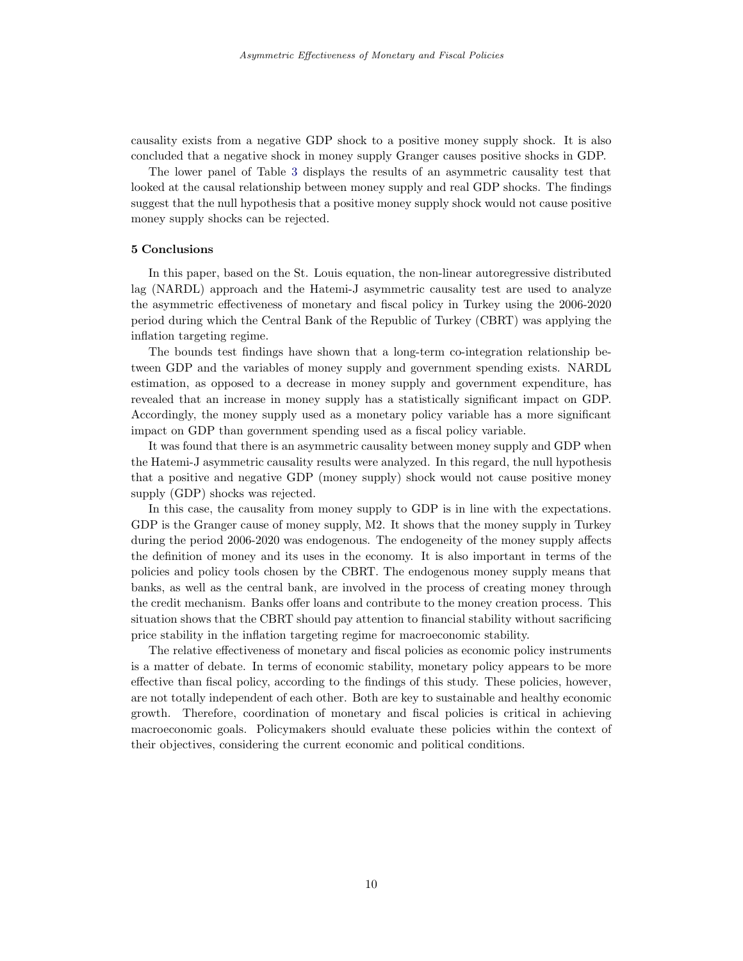causality exists from a negative GDP shock to a positive money supply shock. It is also concluded that a negative shock in money supply Granger causes positive shocks in GDP.

The lower panel of Table [3](#page-8-1) displays the results of an asymmetric causality test that looked at the causal relationship between money supply and real GDP shocks. The findings suggest that the null hypothesis that a positive money supply shock would not cause positive money supply shocks can be rejected.

#### <span id="page-9-0"></span>5 Conclusions

In this paper, based on the St. Louis equation, the non-linear autoregressive distributed lag (NARDL) approach and the Hatemi-J asymmetric causality test are used to analyze the asymmetric effectiveness of monetary and fiscal policy in Turkey using the 2006-2020 period during which the Central Bank of the Republic of Turkey (CBRT) was applying the inflation targeting regime.

The bounds test findings have shown that a long-term co-integration relationship between GDP and the variables of money supply and government spending exists. NARDL estimation, as opposed to a decrease in money supply and government expenditure, has revealed that an increase in money supply has a statistically significant impact on GDP. Accordingly, the money supply used as a monetary policy variable has a more significant impact on GDP than government spending used as a fiscal policy variable.

It was found that there is an asymmetric causality between money supply and GDP when the Hatemi-J asymmetric causality results were analyzed. In this regard, the null hypothesis that a positive and negative GDP (money supply) shock would not cause positive money supply (GDP) shocks was rejected.

In this case, the causality from money supply to GDP is in line with the expectations. GDP is the Granger cause of money supply, M2. It shows that the money supply in Turkey during the period 2006-2020 was endogenous. The endogeneity of the money supply affects the definition of money and its uses in the economy. It is also important in terms of the policies and policy tools chosen by the CBRT. The endogenous money supply means that banks, as well as the central bank, are involved in the process of creating money through the credit mechanism. Banks offer loans and contribute to the money creation process. This situation shows that the CBRT should pay attention to financial stability without sacrificing price stability in the inflation targeting regime for macroeconomic stability.

The relative effectiveness of monetary and fiscal policies as economic policy instruments is a matter of debate. In terms of economic stability, monetary policy appears to be more effective than fiscal policy, according to the findings of this study. These policies, however, are not totally independent of each other. Both are key to sustainable and healthy economic growth. Therefore, coordination of monetary and fiscal policies is critical in achieving macroeconomic goals. Policymakers should evaluate these policies within the context of their objectives, considering the current economic and political conditions.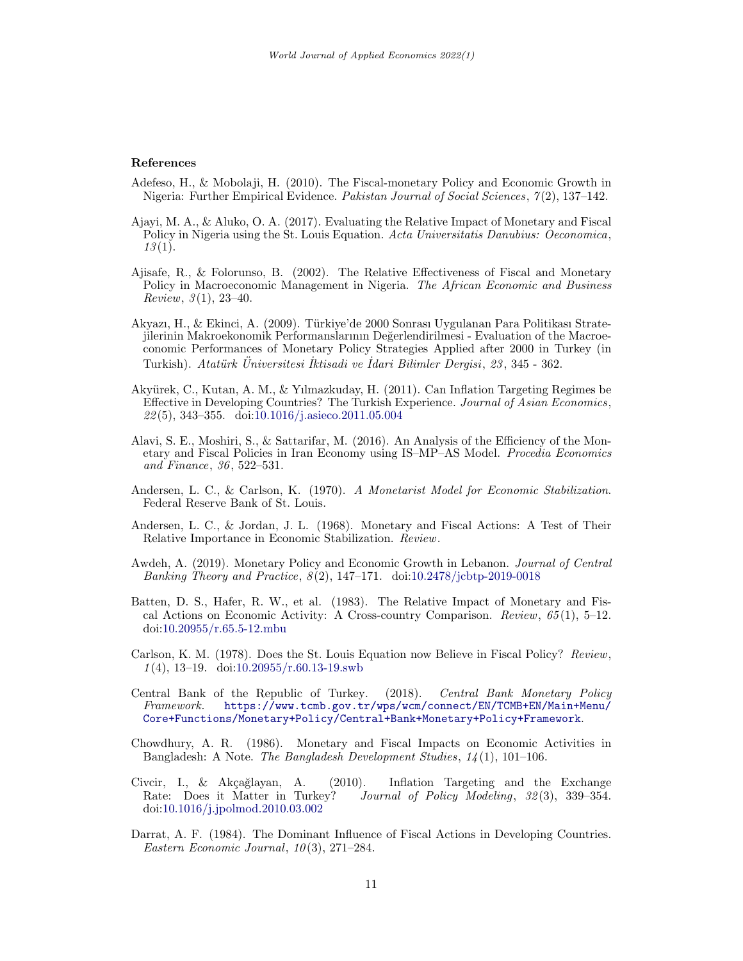#### References

- <span id="page-10-10"></span>Adefeso, H., & Mobolaji, H. (2010). The Fiscal-monetary Policy and Economic Growth in Nigeria: Further Empirical Evidence. Pakistan Journal of Social Sciences, 7 (2), 137–142.
- <span id="page-10-11"></span>Ajayi, M. A., & Aluko, O. A. (2017). Evaluating the Relative Impact of Monetary and Fiscal Policy in Nigeria using the St. Louis Equation. Acta Universitatis Danubius: Oeconomica,  $13(1).$
- <span id="page-10-9"></span>Ajisafe, R., & Folorunso, B. (2002). The Relative Effectiveness of Fiscal and Monetary Policy in Macroeconomic Management in Nigeria. The African Economic and Business Review,  $3(1)$ ,  $23-40$ .
- <span id="page-10-1"></span>Akyazı, H., & Ekinci, A. (2009). Türkiye'de 2000 Sonrası Uygulanan Para Politikası Stratejilerinin Makroekonomik Performanslarının Değerlendirilmesi - Evaluation of the Macroeconomic Performances of Monetary Policy Strategies Applied after 2000 in Turkey (in Turkish). Atatürk Universitesi Iktisadi ve Idari Bilimler Dergisi, 23, 345 - 362.
- <span id="page-10-14"></span>Akyürek, C., Kutan, A. M., & Yılmazkuday, H. (2011). Can Inflation Targeting Regimes be Effective in Developing Countries? The Turkish Experience. Journal of Asian Economics, 22 (5), 343–355. doi[:10.1016/j.asieco.2011.05.004](https://doi.org/10.1016/j.asieco.2011.05.004)
- <span id="page-10-12"></span>Alavi, S. E., Moshiri, S., & Sattarifar, M. (2016). An Analysis of the Efficiency of the Monetary and Fiscal Policies in Iran Economy using IS–MP–AS Model. Procedia Economics and Finance, 36 , 522–531.
- <span id="page-10-4"></span>Andersen, L. C., & Carlson, K. (1970). A Monetarist Model for Economic Stabilization. Federal Reserve Bank of St. Louis.
- <span id="page-10-0"></span>Andersen, L. C., & Jordan, J. L. (1968). Monetary and Fiscal Actions: A Test of Their Relative Importance in Economic Stabilization. Review.
- <span id="page-10-13"></span>Awdeh, A. (2019). Monetary Policy and Economic Growth in Lebanon. Journal of Central Banking Theory and Practice, 8 (2), 147–171. doi[:10.2478/jcbtp-2019-0018](https://doi.org/10.2478/jcbtp-2019-0018)
- <span id="page-10-7"></span>Batten, D. S., Hafer, R. W., et al. (1983). The Relative Impact of Monetary and Fiscal Actions on Economic Activity: A Cross-country Comparison. Review,  $65(1)$ , 5–12. doi[:10.20955/r.65.5-12.mbu](https://doi.org/10.20955/r.65.5-12.mbu)
- <span id="page-10-5"></span>Carlson, K. M. (1978). Does the St. Louis Equation now Believe in Fiscal Policy? Review,  $1(4)$ , 13-19. doi[:10.20955/r.60.13-19.swb](https://doi.org/10.20955/r.60.13-19.swb)
- <span id="page-10-3"></span>Central Bank of the Republic of Turkey. (2018). Central Bank Monetary Policy Framework. [https://www.tcmb.gov.tr/wps/wcm/connect/EN/TCMB+EN/Main+Menu/](https://www.tcmb.gov.tr/wps/wcm/connect/EN/TCMB+EN/Main+Menu/Core+Functions/Monetary+Policy/Central+Bank+Monetary+Policy+Framework) [Core+Functions/Monetary+Policy/Central+Bank+Monetary+Policy+Framework](https://www.tcmb.gov.tr/wps/wcm/connect/EN/TCMB+EN/Main+Menu/Core+Functions/Monetary+Policy/Central+Bank+Monetary+Policy+Framework).
- <span id="page-10-8"></span>Chowdhury, A. R. (1986). Monetary and Fiscal Impacts on Economic Activities in Bangladesh: A Note. The Bangladesh Development Studies, 14 (1), 101–106.
- <span id="page-10-2"></span>Civcir, I., & Akçağlayan, A. (2010). Inflation Targeting and the Exchange Rate: Does it Matter in Turkey? Journal of Policy Modeling, 32(3), 339–354. doi[:10.1016/j.jpolmod.2010.03.002](https://doi.org/10.1016/j.jpolmod.2010.03.002)
- <span id="page-10-6"></span>Darrat, A. F. (1984). The Dominant Influence of Fiscal Actions in Developing Countries. Eastern Economic Journal,  $10(3)$ , 271–284.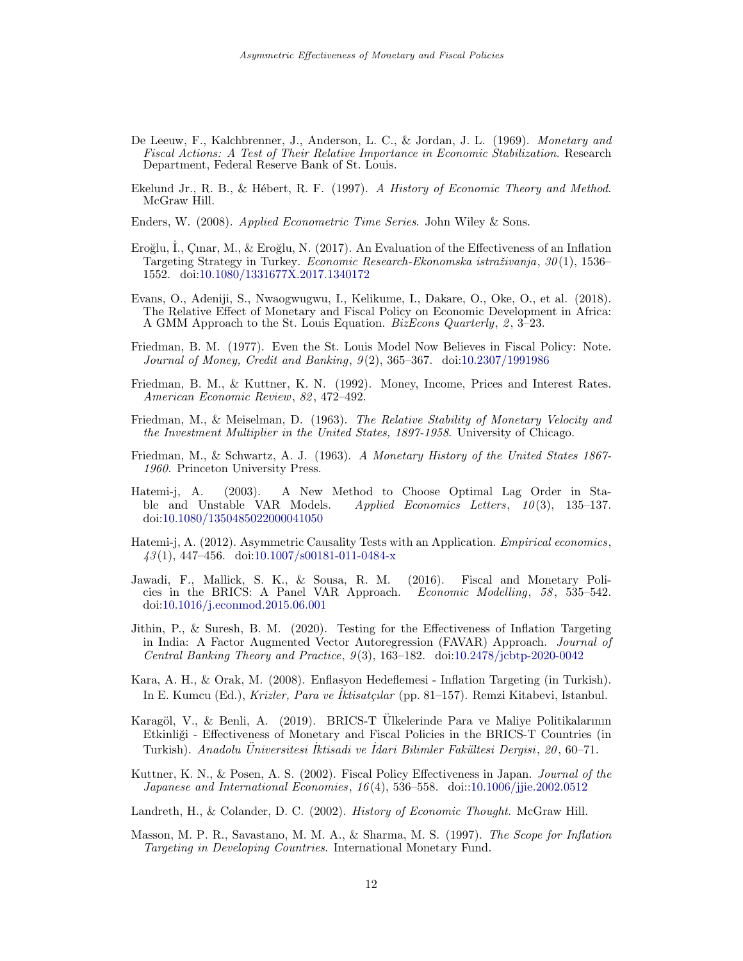- <span id="page-11-8"></span>De Leeuw, F., Kalchbrenner, J., Anderson, L. C., & Jordan, J. L. (1969). Monetary and Fiscal Actions: A Test of Their Relative Importance in Economic Stabilization. Research Department, Federal Reserve Bank of St. Louis.
- <span id="page-11-1"></span>Ekelund Jr., R. B., & Hébert, R. F. (1997). A History of Economic Theory and Method. McGraw Hill.
- <span id="page-11-3"></span>Enders, W. (2008). Applied Econometric Time Series. John Wiley & Sons.
- <span id="page-11-5"></span>Eroğlu, I., Çınar, M., & Eroğlu, N. (2017). An Evaluation of the Effectiveness of an Inflation Targeting Strategy in Turkey. *Economic Research-Ekonomska istraživanja*, 30(1), 1536– 1552. doi[:10.1080/1331677X.2017.1340172](https://doi.org/10.1080/1331677X.2017.1340172)
- <span id="page-11-12"></span>Evans, O., Adeniji, S., Nwaogwugwu, I., Kelikume, I., Dakare, O., Oke, O., et al. (2018). The Relative Effect of Monetary and Fiscal Policy on Economic Development in Africa: A GMM Approach to the St. Louis Equation. *BizEcons Quarterly*,  $2, 3-23$ .
- <span id="page-11-9"></span>Friedman, B. M. (1977). Even the St. Louis Model Now Believes in Fiscal Policy: Note. Journal of Money, Credit and Banking, 9(2), 365-367. doi[:10.2307/1991986](https://doi.org/10.2307/1991986)
- <span id="page-11-15"></span>Friedman, B. M., & Kuttner, K. N. (1992). Money, Income, Prices and Interest Rates. American Economic Review, 82 , 472–492.
- <span id="page-11-2"></span>Friedman, M., & Meiselman, D. (1963). The Relative Stability of Monetary Velocity and the Investment Multiplier in the United States, 1897-1958. University of Chicago.
- <span id="page-11-7"></span>Friedman, M., & Schwartz, A. J. (1963). A Monetary History of the United States 1867- 1960. Princeton University Press.
- <span id="page-11-17"></span>Hatemi-j, A. (2003). A New Method to Choose Optimal Lag Order in Stable and Unstable VAR Models. Applied Economics Letters, 10 (3), 135–137. doi[:10.1080/1350485022000041050](https://doi.org/10.1080/1350485022000041050)
- <span id="page-11-16"></span>Hatemi-j, A. (2012). Asymmetric Causality Tests with an Application. Empirical economics,  $43(1)$ , 447-456. doi[:10.1007/s00181-011-0484-x](https://doi.org/10.1007/s00181-011-0484-x)
- <span id="page-11-11"></span>Jawadi, F., Mallick, S. K., & Sousa, R. M. (2016). Fiscal and Monetary Policies in the BRICS: A Panel VAR Approach. Economic Modelling, 58 , 535–542. doi[:10.1016/j.econmod.2015.06.001](https://doi.org/10.1016/j.econmod.2015.06.001)
- <span id="page-11-13"></span>Jithin, P., & Suresh, B. M. (2020). Testing for the Effectiveness of Inflation Targeting in India: A Factor Augmented Vector Autoregression (FAVAR) Approach. Journal of Central Banking Theory and Practice,  $9(3)$ , 163–182. doi[:10.2478/jcbtp-2020-0042](https://doi.org/10.2478/jcbtp-2020-0042)
- <span id="page-11-4"></span>Kara, A. H., & Orak, M. (2008). Enflasyon Hedeflemesi - Inflation Targeting (in Turkish). In E. Kumcu (Ed.), Krizler, Para ve Iktisatçılar (pp. 81–157). Remzi Kitabevi, Istanbul.
- <span id="page-11-14"></span>Karagöl, V., & Benli, A. (2019). BRICS-T Ülkelerinde Para ve Maliye Politikalarının Etkinliği - Effectiveness of Monetary and Fiscal Policies in the BRICS-T Countries (in Turkish). Anadolu Üniversitesi İktisadi ve İdari Bilimler Fakültesi Dergisi, 20, 60–71.
- <span id="page-11-10"></span>Kuttner, K. N., & Posen, A. S. (2002). Fiscal Policy Effectiveness in Japan. Journal of the Japanese and International Economies, 16 (4), 536–558. doi[::10.1006/jjie.2002.0512](https://doi.org/:10.1006/jjie.2002.0512)
- <span id="page-11-0"></span>Landreth, H., & Colander, D. C. (2002). *History of Economic Thought*. McGraw Hill.
- <span id="page-11-6"></span>Masson, M. P. R., Savastano, M. M. A., & Sharma, M. S. (1997). The Scope for Inflation Targeting in Developing Countries. International Monetary Fund.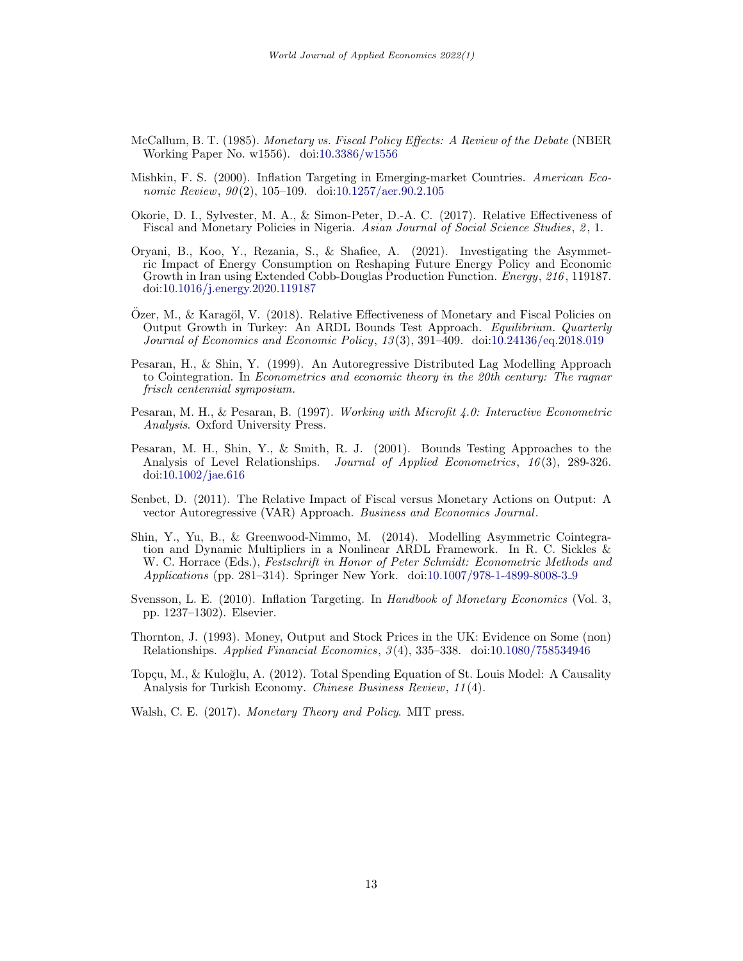- <span id="page-12-0"></span>McCallum, B. T. (1985). Monetary vs. Fiscal Policy Effects: A Review of the Debate (NBER Working Paper No. w1556). doi[:10.3386/w1556](https://doi.org/10.3386/w1556)
- <span id="page-12-2"></span>Mishkin, F. S. (2000). Inflation Targeting in Emerging-market Countries. American Economic Review,  $90(2)$ , 105-109. doi[:10.1257/aer.90.2.105](https://doi.org/10.1257/aer.90.2.105)
- <span id="page-12-5"></span>Okorie, D. I., Sylvester, M. A., & Simon-Peter, D.-A. C. (2017). Relative Effectiveness of Fiscal and Monetary Policies in Nigeria. Asian Journal of Social Science Studies, 2, 1.
- <span id="page-12-10"></span>Oryani, B., Koo, Y., Rezania, S., & Shafiee, A. (2021). Investigating the Asymmetric Impact of Energy Consumption on Reshaping Future Energy Policy and Economic Growth in Iran using Extended Cobb-Douglas Production Function. Energy, 216 , 119187. doi[:10.1016/j.energy.2020.119187](https://doi.org/10.1016/j.energy.2020.119187)
- <span id="page-12-8"></span> $O$ zer, M., & Karagöl, V. (2018). Relative Effectiveness of Monetary and Fiscal Policies on Output Growth in Turkey: An ARDL Bounds Test Approach. Equilibrium. Quarterly Journal of Economics and Economic Policy, 13 (3), 391–409. doi[:10.24136/eq.2018.019](https://doi.org/10.24136/eq.2018.019)
- <span id="page-12-11"></span>Pesaran, H., & Shin, Y. (1999). An Autoregressive Distributed Lag Modelling Approach to Cointegration. In Econometrics and economic theory in the 20th century: The ragnar frisch centennial symposium.
- <span id="page-12-9"></span>Pesaran, M. H., & Pesaran, B. (1997). Working with Microfit 4.0: Interactive Econometric Analysis. Oxford University Press.
- <span id="page-12-12"></span>Pesaran, M. H., Shin, Y., & Smith, R. J. (2001). Bounds Testing Approaches to the Analysis of Level Relationships. Journal of Applied Econometrics, 16(3), 289-326. doi[:10.1002/jae.616](https://doi.org/10.1002/jae.616)
- <span id="page-12-6"></span>Senbet, D. (2011). The Relative Impact of Fiscal versus Monetary Actions on Output: A vector Autoregressive (VAR) Approach. Business and Economics Journal.
- <span id="page-12-13"></span>Shin, Y., Yu, B., & Greenwood-Nimmo, M. (2014). Modelling Asymmetric Cointegration and Dynamic Multipliers in a Nonlinear ARDL Framework. In R. C. Sickles & W. C. Horrace (Eds.), Festschrift in Honor of Peter Schmidt: Econometric Methods and Applications (pp. 281–314). Springer New York. doi[:10.1007/978-1-4899-8008-3](https://doi.org/10.1007/978-1-4899-8008-3_9) 9
- <span id="page-12-3"></span>Svensson, L. E. (2010). Inflation Targeting. In Handbook of Monetary Economics (Vol. 3, pp. 1237–1302). Elsevier.
- <span id="page-12-4"></span>Thornton, J. (1993). Money, Output and Stock Prices in the UK: Evidence on Some (non) Relationships. Applied Financial Economics, 3 (4), 335–338. doi[:10.1080/758534946](https://doi.org/10.1080/758534946)
- <span id="page-12-7"></span>Topçu, M., & Kuloğlu, A. (2012). Total Spending Equation of St. Louis Model: A Causality Analysis for Turkish Economy. *Chinese Business Review*, 11(4).
- <span id="page-12-1"></span>Walsh, C. E. (2017). Monetary Theory and Policy. MIT press.